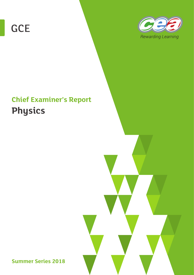



# **Chief Examiner's Report Physics**

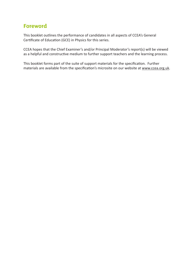# **Foreword**

This booklet outlines the performance of candidates in all aspects of CCEA's General Certificate of Education (GCE) in Physics for this series.

CCEA hopes that the Chief Examiner's and/or Principal Moderator's report(s) will be viewed as a helpful and constructive medium to further support teachers and the learning process.

This booklet forms part of the suite of support materials for the specification. Further materials are available from the specification's microsite on our website at www.ccea.org.uk.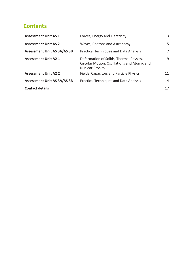# **Contents**

| <b>Assessment Unit AS 1</b>        | Forces, Energy and Electricity                                                                                    | 3  |
|------------------------------------|-------------------------------------------------------------------------------------------------------------------|----|
| <b>Assessment Unit AS 2</b>        | Waves, Photons and Astronomy                                                                                      | 5. |
| <b>Assessment Unit AS 3A/AS 3B</b> | <b>Practical Techniques and Data Analysis</b>                                                                     | 7  |
| <b>Assessment Unit A2 1</b>        | Deformation of Solids, Thermal Physics,<br>Circular Motion, Oscillations and Atomic and<br><b>Nuclear Physics</b> | 9  |
| <b>Assessment Unit A2 2</b>        | <b>Fields, Capacitors and Particle Physics</b>                                                                    | 11 |
| <b>Assessment Unit AS 3A/AS 3B</b> | <b>Practical Techniques and Data Analysis</b>                                                                     | 14 |
| <b>Contact details</b>             |                                                                                                                   | 17 |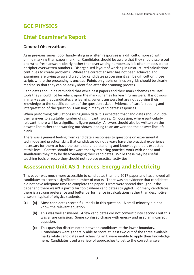#### **GCE PHYSICS**

# **Chief Examiner's Report**

#### **General Observations**

As in previous series, poor handwriting in written responses is a difficulty, more so with online marking than paper marking. Candidates should be aware that they should score out and write fresh answers clearly rather than overwriting numbers as it is often impossible to decipher overwritten numbers. Disorganised layout of working in unstructured calculations continues to create problems. Where the correct answer has not been achieved and examiners are trying to award credit for candidates processing it can be difficult on those scripts where the processing is unclear. Points on graphs or lines on grids should be clearly marked so that they can be easily identified after the scanning process.

Candidates should be reminded that while past papers and their mark schemes are useful tools they should not be reliant upon the mark schemes for learning answers. It is obvious in many cases that candidates are learning generic answers but are not applying their knowledge to the specific context of the question asked. Evidence of careful reading and interpretation of the question is missing in many candidates' responses.

When performing calculations using given data it is expected that candidates should quote their answer to a suitable number of significant figures. On occasion, where particularly relevant, there will be a significant figure penalty. Answers should also be written on the answer line rather than working out shown leading to an answer and the answer line left blank.

There was a general feeling from candidate's responses to questions on experimental technique and practical skills that candidates do not always have the practical experience necessary for them to have the complete understanding and knowledge that is expected at this level. Centres should be aware that by replacing practical work with videos and simulations they may be disadvantaging their candidates. While these may be useful teaching tools or recap they should not replace practical activities.

# **Assessment Unit AS 1 Forces, Energy and Electricity**

This paper was much more accessible to candidates than the 2017 paper and has allowed all candidates to access a significant number of marks. There was no evidence that candidates did not have adequate time to complete the paper. Errors were spread throughout the paper and there wasn't a particular topic where candidates struggled. For many candidates there is a strong preference and better performance in calculations rather than descriptive answers, typical of physics students.

- **Q1 (a)** Most candidates scored full marks in this question. A small minority did not know the relevant equation.
	- **(b)** This was well answered. A few candidates did not convert t into seconds but this was a rare omission. Some confused charge with energy and used an incorrect equation.
	- **(c)** This question discriminated between candidates at the lower boundary. E candidates were generally able to score at least two out of the three available marks while candidates not achieving an E were unable to apply their knowledge here. Candidates used a variety of approaches to get to the correct answer.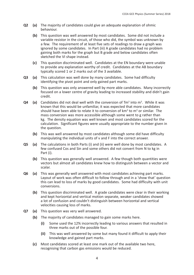- **Q2 (a)** The majority of candidates could give an adequate explanation of ohmic behaviour.
	- **(b)** This question was well answered by most candidates. Some did not include a variable resistor in the circuit, of those who did, the symbol was unknown by a few. The requirement of at least five sets of readings to draw a graph was ignored by some candidates. In Part (iii) A grade candidates had no problem gaining both marks for the graph but B grade and below candidates often sketched the VI shape instead.
	- **(c)** This question discriminated well. Candidates at the EN boundary were unable to provide any explanation worthy of credit. Candidates at the AB boundary typically scored 1 or 2 marks out of the 3 available.
- **Q3 (a)** This calculation was well done by many candidates. Some had difficulty identifying the pivot point and only gained part marks.
	- **(b)** This question was only answered well by more able candidates. Many incorrectly focused on a lower centre of gravity leading to increased stability and didn't gain credit.
- **Q4** (a) Candidates did not deal well with the conversion of Tm<sup>3</sup> into m<sup>3</sup>. While it was known that this would be unfamiliar, it was expected that more candidates should have been able to relate it to conversion of  $km<sup>3</sup>$  to  $m<sup>3</sup>$  or similar. The mass conversion was more accessible although some went to g rather than kg. The density equation was well known and most candidates scored for the calculation. Significant figures were usually appropriate to the number given in the question.
	- **(b)** This was well answered by most candidates although some did have difficulty manipulating the individual units of v and F into the correct answer.
- **Q5 (a)** The calculations in both Parts (i) and (ii) were well done by most candidates. A few confused Cos and Sin and some others did not convert from N to kg in Part (i).
	- **(b)** This question was generally well answered. A few though both quantities were vectors but almost all candidates knew how to distinguish between a vector and scalar.
- **Q6 (a)** This was generally well answered with most candidates achieving part marks. Layout of work was often difficult to follow through and in a 'show that' question this can lead to loss of marks by good candidates. Some had difficulty with unit conversions.
	- **(b)** This question discriminated well. A grade candidates were clear in their working and kept horizontal and vertical motion separate, weaker candidates showed a lot of confusion and couldn't distinguish between horizontal and vertical velocities causing loss of marks.
- **Q7 (a)** This question was very well answered.
	- **(b)** The majority of candidates managed to gain some marks here.
		- **(i)** Some used the 12% incorrectly leading to various answers that resulted in three marks out of the possible four.
		- **(ii)** This was well answered by some but many found it difficult to apply their knowledge and gained part marks.
	- **(c)** Most candidates scored at least one mark out of the available two here, recognising that carbon gas emissions would be reduced.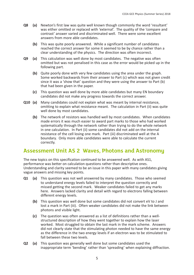- **Q8 (a)** Newton's first law was quite well known though commonly the word 'resultant' was either omitted or replaced with 'external'. The quality of the 'compare and contrast' answer varied and discriminated well. There were some excellent answers from more able candidates.
	- **(b)** This was quite poorly answered. While a significant number of candidates reached the correct answer for some it seemed to be by chance rather than a clear understanding of the physics. The direction was often incorrect.
- **Q9 (a)** This calculation was well done by most candidates. The negative was often omitted but was not penalised in this case as the error would be picked up in the following part.
	- **(b)** Quite poorly done with very few candidates using the area under the graph. Some worked backwards from their answer to Part (c) which was not given credit since it was a 'show that' question and they were using the answer to Part (b) that had been given in the paper.
	- **(c)** This question was well done by more able candidates but many EN boundary candidates did not make any progress towards the correct answer.
- **Q10 (a)** Many candidates could not explain what was meant by internal resistance, omitting to explain what resistance meant. The calculation in Part (ii) was quite well done by most candidates.
	- **(b)** The network of resistors was handled well by most candidates. When candidates made errors it was much easier to award part marks to those who had worked systematically through the network rather than trying to do the whole network in one calculation. In Part (ii) some candidates did not add on the internal resistance of the cell losing one mark. Part (iii) discriminated well at the A boundary. Only more able candidates were able to calculate the current correctly.

#### **Assessment Unit AS 2 Waves, Photons and Astronomy**

The new topics on this specification continued to be answered well. As with AS1, performance was better on calculation questions rather than descriptive ones. Understanding and clarity seemed to be an issue in this paper with many candidates giving vague answers and missing key points.

- **Q1 (a)** This question was not well answered by many candidates. Those who seemed to understand energy levels failed to interpret the question correctly and missed getting the second mark. Weaker candidates failed to get any marks here. Answers lacked clarity and detail with regard to electrons falling between different energy levels.
	- **(b)** This question was well done but some candidates did not convert eV to J and lost a mark in Part (iii). Often weaker candidates did not make the link between photons and visible light.
	- **(c)** The question was often answered as a list of definitions rather than a wellstructured description of how they went together to explain how the laser worked. Most struggled to obtain the last mark in the mark scheme. Answers did not clearly state that the stimulating photon needed to have the same energy as the difference in the two energy levels if an electron was to be stimulated to fall between these two levels.
- **Q2 (a)** This question was generally well done but some candidates used the inappropriate term 'bending' rather than 'spreading' when explaining diffraction.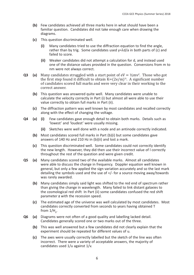- **(b)** Few candidates achieved all three marks here in what should have been a familiar question. Candidates did not take enough care when drawing the diagrams.
- **(c)** This question discriminated well.
	- **(i)** Many candidates tried to use the diffraction equation to find the angle, rather than by trig. Some candidates used  $v = \lambda d/a$  in both parts of (c) and failed to score.
	- **(ii)** Weaker candidates did not attempt a calculation for d, and instead used one of the distance values provided in the question. Conversions from m to nm were not always correct.
- **Q3** (a) Many candidates struggled with a start point of  $eV = \frac{1}{2}mv^2$ . Those who got the first step found it difficult to obtain  $K=(2e/m)^{1/2}$ . A significant number of candidates scored full marks and were very clear in their working to the correct answer.
	- **(b)** This question was answered quite well. Many candidates were unable to calculate the velocity correctly in Part (i) but almost all were able to use their value correctly to obtain full marks in Part (ii).
	- **(c)** The diffraction pattern was well known by most candidates and recalled correctly along with the effect of changing the voltage.
- **Q4 (a) (i)** Few candidates gave enough detail to obtain both marks. Details such as 'lowest' and 'loudest' were usually missing.
	- **(ii)** Sketches were well done with a node and an antinode correctly indicated.
	- **(b)** Most candidates scored full marks in Part (b)(i) but some candidates gave answers of 140 Hz and 210 Hz in (b)(ii) and lost a mark.
	- **(c)** This question discriminated well. Some candidates could not correctly identify the new length. However, they did then use their incorrect value of l correctly throughout the rest of the question and were given credit.
- **Q5 (a)** Many candidates scored two of the available marks. Almost all candidates were able to discuss the change in frequency. Doppler equation well known in general, but only a few applied the sign variation accurately and so the last mark detailing the symbols used and the use of +/- for a source moving away/towards was rarely awarded.
	- **(b)** Many candidates simply said light was shifted to the red end of spectrum rather than giving the change in wavelength. Many failed to link distant galaxies to the cosmological red shift In Part (ii) some candidates confused the red shift parameter **z** with the recession speed.
	- **(c)** The estimated age of the universe was well calculated by most candidates. Most candidates correctly converted from seconds to years having obtained T from 1/H $_{\rm o}$ .
- **Q6 (a)** Diagrams were not often of a good quality and labelling lacked detail. Candidates generally scored one or two marks out of the three.
	- **(b)** This was well answered but a few candidates did not clearly explain that the experiment should be repeated for different values of u.
	- **(c)** The axes were usually correctly labelled but the sketch of the line was often incorrect. There were a variety of acceptable answers, the majority of candidates used 1/u against 1/v.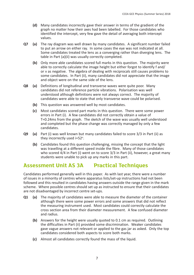- **(d)** Many candidates incorrectly gave their answer in terms of the gradient of the graph no matter how their axes had been labelled. For those candidates who identified the intercept, very few gave the detail of averaging both intercept values.
- **Q7 (a)** The ray diagram was well drawn by many candidates. A significant number failed to put an arrow on either ray. In some cases the eye was not indicated at all. Some candidates treated the lens as a converging rather than diverging lens. The table in Part (a)(ii) was usually correctly completed.
	- **(b)** Only more able candidates scored full marks in this question. The majority were able to correctly calculate the image height but either forgot to identify f and/ or v as negative. The algebra of dealing with reciprocals still causes problems to some candidates. In Part (ii), many candidates did not appreciate that the image and object were on the same side of the lens.
- **Q8 (a)** Definitions of longitudinal and transverse waves were quite poor. Many candidates did not reference particle vibrations. Polarisation was well understood although definitions were not always correct. The majority of candidates were able to state that only transverse wave could be polarised.
	- **(b)** This question was answered well by most candidates.
	- **(c)** Most candidates scored part marks in this question. There were some power errors in Part (i). A few candidates did not correctly obtain a value of T=0.24ms from the graph. The sketch of the wave was usually well understood and completed but the phase change was correctly managed by only a few candidates.
- **Q9 (a)** Part (i) was well known but many candidates failed to score 3/3 in Part (ii) as they incorrectly used  $i=52^{\circ}$ .
	- **(b)** Candidates found this question challenging, missing the concept that the light was travelling at a different speed inside the fibre. Many of those candidates who scored 4/4 in Part (i) went on to score 3/3 in Part (ii), however, a great many students were unable to pick up any marks in this part.

#### **Assessment Unit AS 3A Practical Techniques**

Candidates performed generally well in this paper. As with last year, there were a number of issues in a minority of centres where apparatus lists/set-up instructions had not been followed and this resulted in candidates having answers outside the range given in the mark scheme. Where possible centres should set up as instructed to ensure that their candidates are not disadvantaged by incorrect centre set-ups.

- **Q1 (a)** The majority of candidates were able to measure the diameter of the container although there were some power errors and some answers that did not reflect the measuring instrument used. Most candidates could correctly calculate the cross section area from their diameter measurement. A few confused diameter and radius.
	- **(b)** Answers for the height were usually quoted to 0.1 cm as required. Outlining the difficulties in Part (ii) provided some discrimination. Weaker candidates gave vague answers not relevant or applied to the gas jar as asked. Only the top candidates considered both aspects to score both marks.
	- **(c)** Almost all candidates correctly found the mass of the liquid.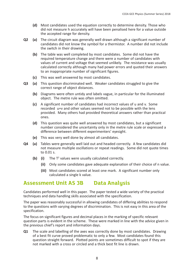- **(d)** Most candidates used the equation correctly to determine density. Those who did not measure h accurately will have been penalised here for a value outside the accepted range for density.
- **Q2 (a)** The circuit diagram was generally well drawn although a significant number of candidates did not know the symbol for a thermistor. A number did not include the switch in their drawing.
	- **(b)** The table was well completed by most candidates. Some did not have the required temperature change and there were a number of candidates with values of current and voltage that seemed unlikely. The resistance was usually calculated correctly although many had power errors and quoted their answers to an inappropriate number of significant figures.
	- **(c)** This was well answered by most candidates.
- **Q3 (a)** This question discriminated well. Weaker candidates struggled to give the correct range of object distances.
	- **(b)** Diagrams were often untidy and labels vague, in particular for the illuminated object. The metre rule was often omitted.
	- **(c)** A significant number of candidates had incorrect values of u and v. Some recorded u+v and other values seemed not to be possible with the lens provided. Many others had provided theoretical answers rather than practical ones.
	- **(d)** This question was quite well answered by most candidates, but a significant number considered the uncertainty only in the metre rule scale or expressed a difference between different experimenters' eyesight.
	- **(e)** This was very well done by almost all candidates.
- **Q4 (a)** Tables were generally well laid out and headed correctly. A few candidates did not measure multiple oscillations or repeat readings. Some did not quote times to 0.01 s.
	- (b) (i) The T<sup>2</sup> values were usually calculated correctly.
		- **(ii)** Only some candidates gave adequate explanation of their choice of n value.
		- **(iii)** Most candidates scored at least one mark. A significant number only calculated a single k value.

#### **Assessment Unit AS 3B Data Analysis**

Candidates performed well in this paper. The paper tested a wide variety of the practical techniques and data handling skills associated with the specification.

The paper was reasonably successful in allowing candidates of differing abilities to respond to the questions with varying degrees of discrimination. This is not easy in this area of the specification.

The focus on significant figures and decimal places in the marking of specific relevant question parts is evident in the scheme. These were marked in line with the advice given in the previous chief's report and information days.

**Q1** The scale and labelling of the axes was correctly done by most candidates. Drawing of a best fit curve proved problematic to only a few. Most candidates found this question straight forward. Plotted points are sometimes difficult to spot if they are not marked with a cross or circled and a thick best fit line is drawn.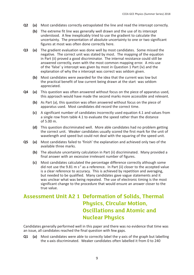- **Q2 (a)** Most candidates correctly extrapolated the line and read the intercept correctly.
	- **(b)** The extreme fit line was generally well drawn and the use of its intercept understood. A few inexplicably tried to use the gradient to calculate the uncertainty. The presentation of absolute uncertainty to one or two significant figures at most was often done correctly here.
- **Q3 (a)** The gradient evaluation was done well by most candidates. Some missed the negative. The correct unit was stated by most. The mapping of the equation in Part (ii) proved a good discriminator. The internal resistance could still be answered correctly, even with the most common mapping error. A mis-use of the 'false' y intercept was given by most in Question 1 Part (iv) and the explanation of why the x intercept was correct was seldom given.
	- **(b)** Most candidates were awarded for the idea that the current was low but the practical benefit of low current being drawn at the start was seldom appreciated.
- **Q4 (a)** This question was often answered without focus on the piece of apparatus used, this approach would have made the second marks more accessible and relevant.
	- **(b)** As Part (a), this question was often answered without focus on the piece of apparatus used. Most candidates did record the correct time.
	- **(c)** A significant number of candidates incorrectly used equation 4.1 and values from a single row from table 4.1 to evaluate the speed rather than the distance of 5.00 m.
	- **(d)** This question discriminated well. More able candidates had no problem getting the correct unit. Weaker candidates usually scored the first mark for the unit of wavelength and speed but could not deal with the squaring of the speed unit.
- **Q5 (a)** Most candidates failed to 'finish' the explanation and achieved only two of the available three marks.
	- **(b)** The absolute uncertainty calculation in Part (ii) discriminated. Many provided a final answer with an excessive irrelevant number of figures.
	- **(c)** Most candidates calculated the percentage difference correctly although some did not use the 9.81 m  $s^2$  as a reference. In Part (ii) closer to the accepted value is a clear reference to accuracy. This is achieved by repetition and averaging, but needed to be qualified. Many candidates gave vague statements and it was unclear what was being repeated. The use of electronic timing is the most significant change to the procedure that would ensure an answer closer to the true value.

# **Assessment Unit A2 1 Deformation of Solids, Thermal Physics, Circular Motion, Oscillations and Atomic and Nuclear Physics**

Candidates generally performed well in this paper and there was no evidence that time was an issue, all candidates reached the final question with few gaps.

**Q1 (a)** Most candidates were able to correctly label the y-axis of the graph but labelling the x-axis discriminated. Weaker candidates often labelled it from 0 to 240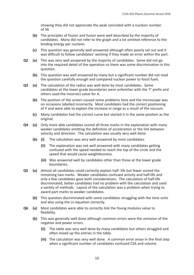showing they did not appreciate the peak coincided with a nucleon number of 56

- **(b)** The principles of fission and fusion were well described by the majority of candidates. Many did not refer to the graph and a lot omitted reference to the binding energy per nucleon.
- **(c)** This question was generally well answered although often poorly set out and it was difficult to follow candidates' working if they made an error within the part.
- **Q2 (a)** This was very well answered by the majority of candidates. Some did not go into the required detail of the operation so there was some discrimination in this question.
	- **(b)** This question was well answered by many but a significant number did not read the question carefully enough and compared nuclear power to fossil fuels.
- **Q3 (a)** The calculation of the radius was well done by most candidates. Some candidates at the lower grade boundaries were unfamiliar with the 'f' prefix and others used the incorrect value for A.
	- **(b)** The position of the screen caused some problems here and the microscope was on occasions labelled incorrectly. Most candidates had the correct positioning of P and were able to explain the increase in range as a result of the vacuum.
	- **(c)** Many candidates had the correct curve but started it in the same position as the original.
- **Q4 (a)** Only more able candidates scored all three marks in the explanation with many weaker candidates omitting the definition of acceleration or the link between velocity and direction. The calculation was usually very well done.
	- **(b) (i)** The calculation was very well answered by most candidates.
		- **(ii)** The explanation was not well answered with many candidates getting confused with the speed needed to reach the top of the circle and the speed that would cause weightlessness.
		- **(iii)** Was answered well by candidates other than those at the lower grade boundaries.
- **Q5 (a)** Almost all candidates could correctly explain half- life but fewer scored the remaining two marks. Weaker candidates confused activity and half-life and only a few candidates gave both considerations. The calculation of half-life discriminated, better candidates had no problem with the calculation and used a variety of methods. Layout of the calculation was a problem when trying to award part marks to weaker candidates.
	- **(b)** This question discriminated with some candidates struggling with the time units and also using the Ln equation correctly.
- **Q6 (a)** Most candidates were able to correctly link the Young modulus value to flexibility.
	- **(b)** This was generally well done although common errors were the omission of the negative and power errors.
		- **(ii)** The table was very well done by many candidates but others struggled and often mixed up the entries in the table.
		- **(iii)** The calculation was very well done. A common error arose in the final step when a significant number of candidates confused CSA and volume.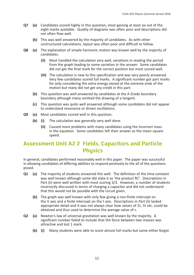- **Q7 (a)** Candidates scored highly in this question, most gaining at least six out of the eight marks available. Quality of diagrams was often poor and descriptions did not often flow well.
	- **(b)** This was well answered by the majority of candidates. As with other unstructured calculations, layout was often poor and difficult to follow.
- **Q8 (a)** The explanation of simple harmonic motion was known well by the majority of candidates.
	- **(ii)** Most handled the calculation very well, variations in reading the period from the graph leading to some variation in the answer. Some candidates did not get the final mark for the correct position but most scored well.
	- **(iii)** The calculation is new to this specification and was very poorly answered. Very few candidates scored full marks. A significant number got part marks for only considering the extra energy stored at the extreme ends of the motion but many did not get any credit in this part.
	- **(b)** This question was well answered by candidates at the A Grade boundary boundary although many omitted the drawing of a tangent.
	- **(c)** This question was quite well answered although some candidates did not appear to understand resonance or driven oscillations.
- **Q9 (a)** Most candidates scored well in this question.
	- **(b) (i)** The calculation was generally very well done.
		- **(ii)** Caused more problems with many candidates using the incorrect mass in the equation. Some candidates left their answer as the mean square speed.

# **Assessment Unit A2 2 Fields, Capacitors and Particle Physics**

In general, candidates performed reasonably well in this paper. The paper was successful in allowing candidates of differing abilities to respond positively to the all of the questions posed.

- **Q1 (a)** The majority of students answered this well. The definition of the time constant was well known although some did state it as 'the product RC'. Descriptions in Part (ii) were well written with most scoring 3/3. However, a number of students incorrectly discussed in terms of charging a capacitor and did not understand that this would not be possible with the circuit given.
	- **(b)** The graph was well known with only few giving a non-finite intercept on the V axis and a finite intercept on the t axis. Descriptions in Part (ii) lacked appropriate detail and it was not always clear how values of 2τ, 3τ etc. could be obtained and thus used to determine the average value of τ.
- **Q2 (a)** Newton's law of universal gravitation was well known by the majority. A significant number failed to include that the force between two masses was attractive and lost 1 mark.
	- **(b) (i)** Many students were able to score almost full marks but some either forgot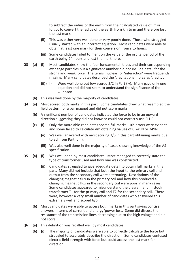to subtract the radius of the earth from their calculated value of 'r' or forgot to convert the radius of the earth from km to m and therefore lost the last mark.

- **(ii)** This was either very well done or very poorly done. Those who struggled usually started with an incorrect equation. Most candidates were able to obtain at least one mark for their conversion from s to hours.
- **(iii)** Some candidates failed to mention the value of the orbital period of the earth being 24 hours and lost the mark here.
- **Q3 (a) (i)** Most candidates knew the four fundamental forces and their corresponding exchange particles but a significant number did not include detail for the strong and weak force. The terms 'nuclear' or 'interaction' were frequently missing. Many candidates described the 'gravitational' force as 'gravity'.
	- **(ii) (iii)** Were well done but few scored 2/2 in Part (iv). Many gave only one equation and did not seem to understand the significance of the w- boson.
	- **(b)** This was well done by the majority of candidates.
- **Q4 (a)** Most scored both marks in this part. Some candidates drew what resembled the field pattern for a bar magnet and did not score marks.
	- **(b)** A significant number of candidates indicated the force to be in an upward direction suggesting they did not know or could not correctly use FLHR.
	- **(c) (i)** Only the more able candidates scored full marks. 10ⁿ errors were evident and some failed to calculate Δm obtaining values of 0.745N or 749N.
		- **(ii)** Was well answered with most scoring 3/3 in this part obtaining marks due to ecf from Part (c)(i).
		- **(iii)** Was also well done in the majority of cases showing knowledge of the AS specification.
- **Q5 (a) (i)** Was well done by most candidates. Most managed to correctly state the type of transformer used and how one was constructed.
	- **(ii)** Candidates struggled to give adequate detail to obtain full marks in this part. Many did not include that both the input to the primary coil and output from the secondary coil were alternating. Descriptions of the changing magnetic flux in the primary coil and how this produced a changing magnetic flux in the secondary coil were poor in many cases. Some candidates appeared to misunderstand the diagram and mistook transformer T1 for the primary coil and T2 for the secondary coil. There were, however a very small number of candidates who answered this extremely well and scored 6/6.
	- **(b)** Most candidates were able to access both marks in this part giving concise answers in terms of current and energy/power loss. Some did discuss the resistance of the transmission lines decreasing due to the high voltage and did not score.
- **Q6 (a)** This definition was recalled well by most candidates.
	- **(b) (i)** The majority of candidates were able to correctly calculate the force but struggled to accurately describe the direction. Some candidates confused electric field strength with force but could access the last mark for direction.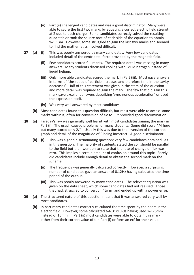- **(ii)** Part (ii) challenged candidates and was a good discriminator. Many were able to score the first two marks by equating a correct electric field strength at Z due to each charge. Some candidates correctly solved the resulting quadratic or took the square root of each side of the equation to obtain x=1.13m. However, some struggled to gain the last two marks and seemed to find the mathematics involved difficult.
- **Q7 (a) (i)** This was poorly answered by many candidates. Very few candidates included detail of the centripetal force provided by the magnetic field.
	- **(ii)** Few candidates scored full marks. The required detail was missing in many answers. Many students discussed cooling with liquid nitrogen instead of liquid helium.
	- **(iii)** Only more able candidates scored the mark in Part (iii). Most gave answers in terms of 'the speed of particle increases and therefore time in the cavity decreases'. Half of this statement was given in the stem of the question and more detail was required to gain the mark. The few that did gain this mark gave excellent answers describing 'synchronous acceleration' or used the expression itself.
	- **(iv)** Was very well answered by most candidates.
	- **(b)** Most candidates found this question difficult, but most were able to access some marks within it, often for conversion of eV to J. It provided good discrimination.
- **Q8 (a)** Faraday's law was generally well learnt with most candidates gaining the mark in Part (i). The graph caused problems for many students. Some did score 4/4 here but many scored only 2/4. Usually this was due to the inversion of the correct graph and detail of the magnitude of E being incorrect. A good discriminator.
	- **(b) (i)** This was a good discriminating question; very few candidates obtained 3/3 in this question. The majority of students stated the coil should be parallel to the field but then went on to state that the rate of change of flux was zero. This implies a certain amount of confusion around this topic. Rarely did candidates include enough detail to obtain the second mark on the scheme.
		- **(ii)** The frequency was generally calculated correctly. However, a surprising number of candidates gave an answer of 0.12Hz having calculated the time period of the output.
		- **(iii)** This was poorly answered by many candidates. The relevant equation was given on the data sheet, which some candidates had not realised. Those that had, struggled to convert cm<sup>2</sup> to m<sup>2</sup> and ended up with a power error.
- **Q9 (a)** The structured nature of this question meant that it was answered very well by most candidates.
	- **(b)** In part many candidates correctly calculated the time spent by the beam in the electric field. However, some calculated t=6.31x10-9s having used s=175mm instead of 15mm. In Part (ii) most candidates were able to obtain this mark either from their correct value of t in Part (i) or form an ecf for their value.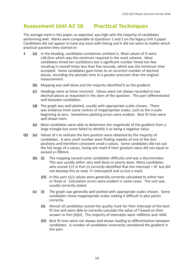### **Assessment Unit A2 3A Practical Techniques**

The average mark in this paper, as expected, was high with the majority of candidates performing well. Marks were comparable to Questions 1 and 2 on the legacy Unit 3 paper. Candidates did not appear to have any issue with timing and it did not seem to matter which practical question they started on.

- **1 (a)** In the heading, candidates sometimes omitted /s. Most values of D were ≥36.0cm which was the minimum required in the mark scheme. Most candidates timed ten oscillations but a significant number timed too few resulting in overall times less than five seconds, which was the minimum time accepted. Some candidates gave times to an incorrect number of decimal places, recording the periodic time to a greater precision than the original measurement.
	- **(b)** Mapping was well done and the majority identified b as the gradient.
	- **(c)** Headings were at times incorrect. Values were not always recorded to two decimal places as requested in the stem of the question. This part differentiated well between candidates.
	- **(d)** The graph was well plotted, usually with appropriate scales chosen. There was evidence from some centres of inappropriate scales, such as the x-scale beginning at zero. Sometimes plotting errors were evident. Best fit lines were well drawn here.
	- **(e)** Most candidates were able to determine the magnitude of the gradient from a large triangle but some failed to identify it as being a negative value.
- **Q2 (a)** Values of x to indicate the lens position were obtained by the majority of candidates. A very small number were finding repeats of one of the lens positions and therefore consistent small x values. Some candidates did not use the full range of y values, losing one mark if their greatest value did not equal or exceed y=780mm.
	- **(b) (i)** The mapping caused some candidates difficulty and was a discriminator. This was usually either very well done or poorly done. Many candidates who scored 2/2 in Part (i) correctly identified that the intercept = 4f but did not develop this to state f= intercept/4 and so lost a mark.
		- **(iii)** In this part x2/y values were generally correctly calculated to either two or three sf. Calculation errors were evident in some cases. The unit was usually correctly stated.
	- **(c) (i)** The graph was generally well plotted with appropriate scales chosen. Some candidates chose inappropriate scales making it difficult to plot points correctly.
		- **(ii)** Almost all candidates scored the quality mark for their intercept of the best fit line and were able to correctly calculate the value of f based on their answer to Part (b)(ii). The majority of intercepts were >600mm and <640.
		- **(iii)** Best fit lines were not always well drawn leading to differentiation between candidates. A number of candidates incorrectly considered the gradient in this part.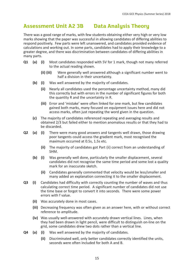#### **Assessment Unit A2 3B Data Analysis Theory**

There was a good range of marks, with few students obtaining either very high or very low marks showing that the paper was successful in allowing candidates of differing abilities to respond positively. Few parts were left unanswered, and candidates provided evidence of calculations and working out. In some parts, candidates had to apply their knowledge to a greater degree, and there was discrimination between candidates of differing abilities in many parts.

- **Q1 (a) (i)** Most candidates responded with 5V for 1 mark, though not many referred to the actual reading shown.
	- **(ii) (iii)** Were generally well answered although a significant number went to half a division in their uncertainty.
	- **(b) (i)** Was well answered by the majority of candidates.
		- **(ii)** Nearly all candidates used the percentage uncertainty method, many did this correctly but with errors in the number of significant figures for both the quantity R and the uncertainty in R.
		- **(iii)** Error and 'mistake' were often linked for one mark, but few candidates gained both marks, many focused on equipment issues here and did not access marks, often just repeating the word given in the question.
	- **(c)** The majority of candidates referenced repeating and averaging results and obtained 2/3 but failed either to mention anomalous results or that they had to be discarded.
- **Q2 (a) (i)** There were many good answers and tangents well drawn, those drawing poor tangents could access the gradient mark, most recognised the maximum occurred at 0.5s, 1.5s etc.
	- **(ii)** The majority of candidates got Part (ii) correct from an understanding of SHM.
	- **(b) (i)** Was generally well done, particularly the smaller displacement, several candidates did not recognise the same time period and some lost a quality mark for an inaccurate sketch.
		- **(ii)** Candidates generally commented that velocity would be less/smaller and many added an explanation connecting it to the smaller displacement.
- **Q3 (i)** Candidates had difficulty with correctly counting the number of waves and thus calculating correct time period. A significant number of candidates did not use the time base or forgot to convert it into seconds. There were some power errors with f value.
	- **(ii)** Was accurately done in most cases.
	- **(iii)** Decreasing frequency was often given as an answer here, with or without correct reference to amplitude.
	- **(iv)** Was usually well-answered with accurately drawn vertical lines. Lines, when they had been drawn in light pencil, were difficult to distinguish on-line on the grid, some candidates drew two dots rather than a vertical line.
- **Q4 (a) (i)** Was well answered by the majority of candidates.
	- **(ii)** Discriminated well, only better candidates correctly identified the units, seconds were often included for both A and B.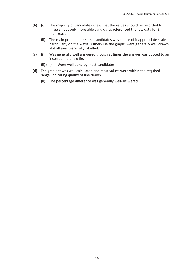- **(b) (i)** The majority of candidates knew that the values should be recorded to three sf but only more able candidates referenced the raw data for E in their reason.
	- **(ii)** The main problem for some candidates was choice of inappropriate scales, particularly on the x-axis. Otherwise the graphs were generally well-drawn. Not all axes were fully labelled.
- **(c) (i)** Was generally well answered though at times the answer was quoted to an incorrect no of sig fig.
	- **(ii) (iii)** Were well done by most candidates.
- **(d)** The gradient was well calculated and most values were within the required range, indicating quality of line drawn.
	- **(ii)** The percentage difference was generally well-answered.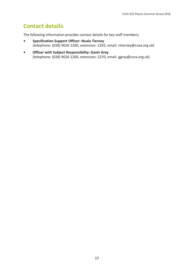# **Contact details**

The following information provides contact details for key staff members:

- **• Specification Support Officer: Nuala Tierney** (telephone: (028) 9026 1200, extension: 2292, email: ntierney@ccea.org.uk)
- **• Officer with Subject Responsibility: Gavin Gray** (telephone: (028) 9026 1200, extension: 2270, email: ggray@ccea.org.uk)